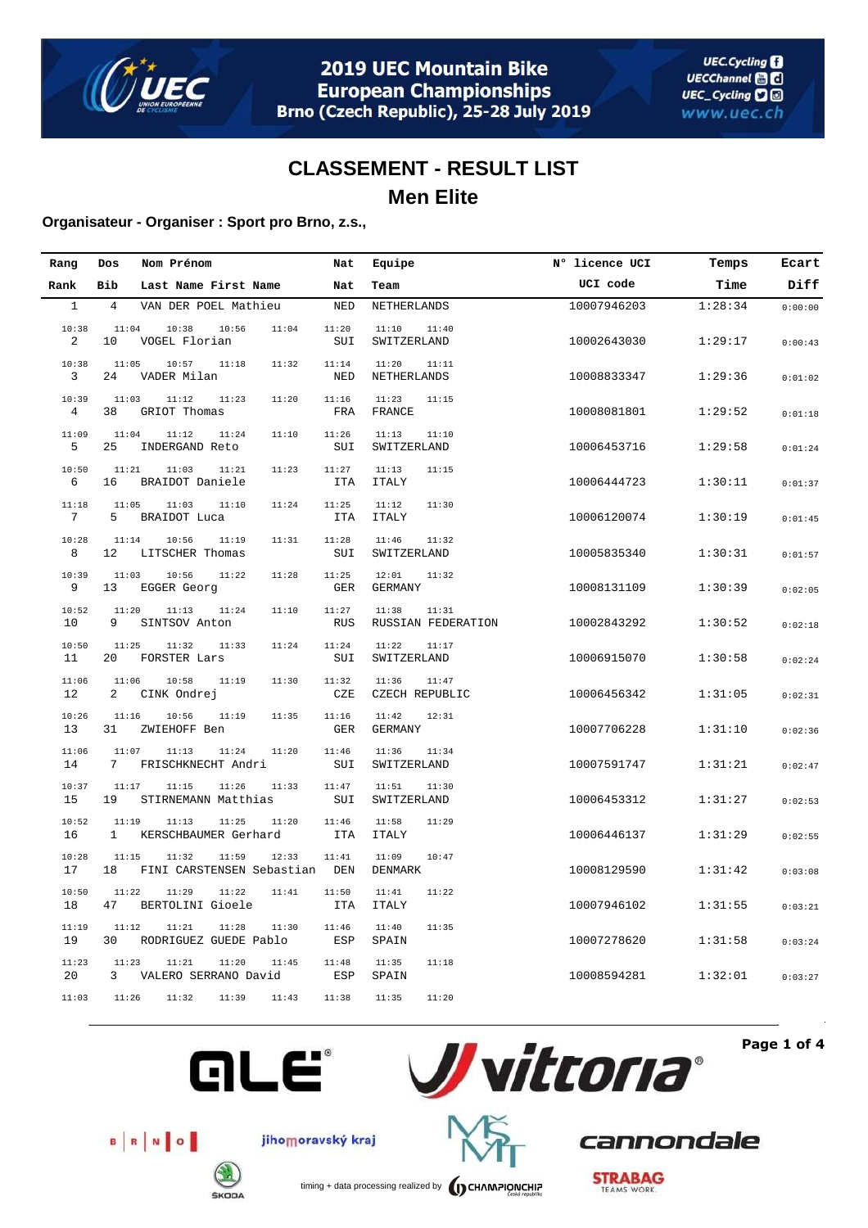

### **Organisateur - Organiser : Sport pro Brno, z.s.,**

| Rang         | Dos                   | Nom Prénom                                           | Nat                 | Equipe                               | N° licence UCI | Temps   | Ecart   |
|--------------|-----------------------|------------------------------------------------------|---------------------|--------------------------------------|----------------|---------|---------|
| Rank         | Bib                   | Last Name First Name                                 | Nat                 | Team                                 | UCI code       | Time    | Diff    |
| $\mathbf{1}$ | $\overline{4}$        | VAN DER POEL Mathieu                                 | <b>NED</b>          | NETHERLANDS                          | 10007946203    | 1:28:34 | 0:00:00 |
| 10:38<br>2   | 11:04<br>10           | 10:38<br>10:56<br>11:04<br>VOGEL Florian             | 11:20<br>SUI        | 11:10<br>11:40<br>SWITZERLAND        | 10002643030    | 1:29:17 | 0:00:43 |
| 10:38<br>3   | 11:05<br>24           | 10:57<br>11:18<br>11:32<br>VADER Milan               | 11:14<br>NED        | 11:20<br>11:11<br>NETHERLANDS        | 10008833347    | 1:29:36 | 0:01:02 |
| 10:39<br>4   | 11:03<br>38           | 11:12<br>11:20<br>11:23<br>GRIOT Thomas              | 11:16<br>FRA        | 11:23<br>11:15<br>FRANCE             | 10008081801    | 1:29:52 | 0:01:18 |
| 11:09<br>5   | 11:04<br>25           | 11:12<br>11:24<br>11:10<br>INDERGAND Reto            | 11:26<br>SUI        | 11:13<br>11:10<br>SWITZERLAND        | 10006453716    | 1:29:58 | 0:01:24 |
| 10:50<br>6   | 11:21<br>16           | 11:03<br>11:21<br>11:23<br>BRAIDOT Daniele           | 11:27<br><b>ITA</b> | 11:13<br>11:15<br><b>ITALY</b>       | 10006444723    | 1:30:11 | 0:01:37 |
| 11:18<br>7   | 11:05<br>5            | 11:03<br>11:10<br>11:24<br><b>BRAIDOT Luca</b>       | 11:25<br><b>ITA</b> | 11:12<br>11:30<br><b>ITALY</b>       | 10006120074    | 1:30:19 | 0:01:45 |
| 10:28<br>8   | 11:14<br>12           | 10:56<br>11:19<br>11:31<br>LITSCHER Thomas           | 11:28<br>SUI        | 11:46<br>11:32<br>SWITZERLAND        | 10005835340    | 1:30:31 | 0:01:57 |
| 10:39<br>9   | 11:03<br>13           | 10:56<br>11:22<br>11:28<br>EGGER Georg               | 11:25<br>GER        | 12:01<br>11:32<br><b>GERMANY</b>     | 10008131109    | 1:30:39 | 0:02:05 |
| 10:52<br>10  | 11:20<br>9            | 11:13<br>11:10<br>11:24<br>SINTSOV Anton             | 11:27<br><b>RUS</b> | 11:38<br>11:31<br>RUSSIAN FEDERATION | 10002843292    | 1:30:52 | 0:02:18 |
| 10:50<br>11  | 11:25<br>20           | 11:32<br>11:33<br>11:24<br>FORSTER Lars              | 11:24<br>SUI        | 11:22<br>11:17<br>SWITZERLAND        | 10006915070    | 1:30:58 | 0:02:24 |
| 11:06<br>12  | 11:06<br>2            | 10:58<br>11:19<br>11:30<br>CINK Ondrej               | 11:32<br>CZE        | 11:36<br>11:47<br>CZECH REPUBLIC     | 10006456342    | 1:31:05 | 0:02:31 |
| 10:26<br>13  | 11:16<br>31           | 10:56<br>11:19<br>11:35<br>ZWIEHOFF Ben              | 11:16<br>GER        | 11:42<br>12:31<br><b>GERMANY</b>     | 10007706228    | 1:31:10 | 0:02:36 |
| 11:06<br>14  | 11:07<br>7            | 11:13<br>11:24<br>11:20<br>FRISCHKNECHT Andri        | 11:46<br>SUI        | 11:36<br>11:34<br>SWITZERLAND        | 10007591747    | 1:31:21 | 0:02:47 |
| 10:37<br>15  | 11:17<br>19           | 11:15<br>11:26<br>11:33<br>STIRNEMANN Matthias       | 11:47<br>SUI        | 11:51<br>11:30<br>SWITZERLAND        | 10006453312    | 1:31:27 | 0:02:53 |
| 10:52<br>16  | 11:19<br>$\mathbf{1}$ | 11:13<br>11:25<br>11:20<br>KERSCHBAUMER Gerhard      | 11:46<br><b>ITA</b> | 11:58<br>11:29<br><b>ITALY</b>       | 10006446137    | 1:31:29 | 0:02:55 |
| 10:28<br>17  | 11:15<br>18           | 11:32<br>11:59<br>12:33<br>FINI CARSTENSEN Sebastian | 11:41<br>DEN        | 11:09<br>10:47<br>DENMARK            | 10008129590    | 1:31:42 | 0:03:08 |
| 10:50<br>18  | 11:22<br>47           | 11:29<br>11:22<br>11:41<br>BERTOLINI Gioele          | 11:50<br><b>ITA</b> | 11:41<br>11:22<br><b>ITALY</b>       | 10007946102    | 1:31:55 | 0:03:21 |
| 11:19<br>19  | 11:12<br>30           | 11:21<br>11:28<br>11:30<br>RODRIGUEZ GUEDE Pablo     | 11:46<br>ESP        | 11:40<br>11:35<br>SPAIN              | 10007278620    | 1:31:58 | 0:03:24 |
| 11:23<br>20  | 11:23<br>3            | 11:21<br>11:20<br>11:45<br>VALERO SERRANO David      | 11:48<br>ESP        | 11:35<br>11:18<br>SPAIN              | 10008594281    | 1:32:01 | 0:03:27 |
| 11:03        | 11:26                 | 11:32<br>11:39<br>11:43                              | 11:38               | 11:35<br>11:20                       |                |         |         |



**Page 1 of 4**



B R NO



cannondale



jihomoravský kraj

timing + data processing realized by **CHAMPIONCHIP**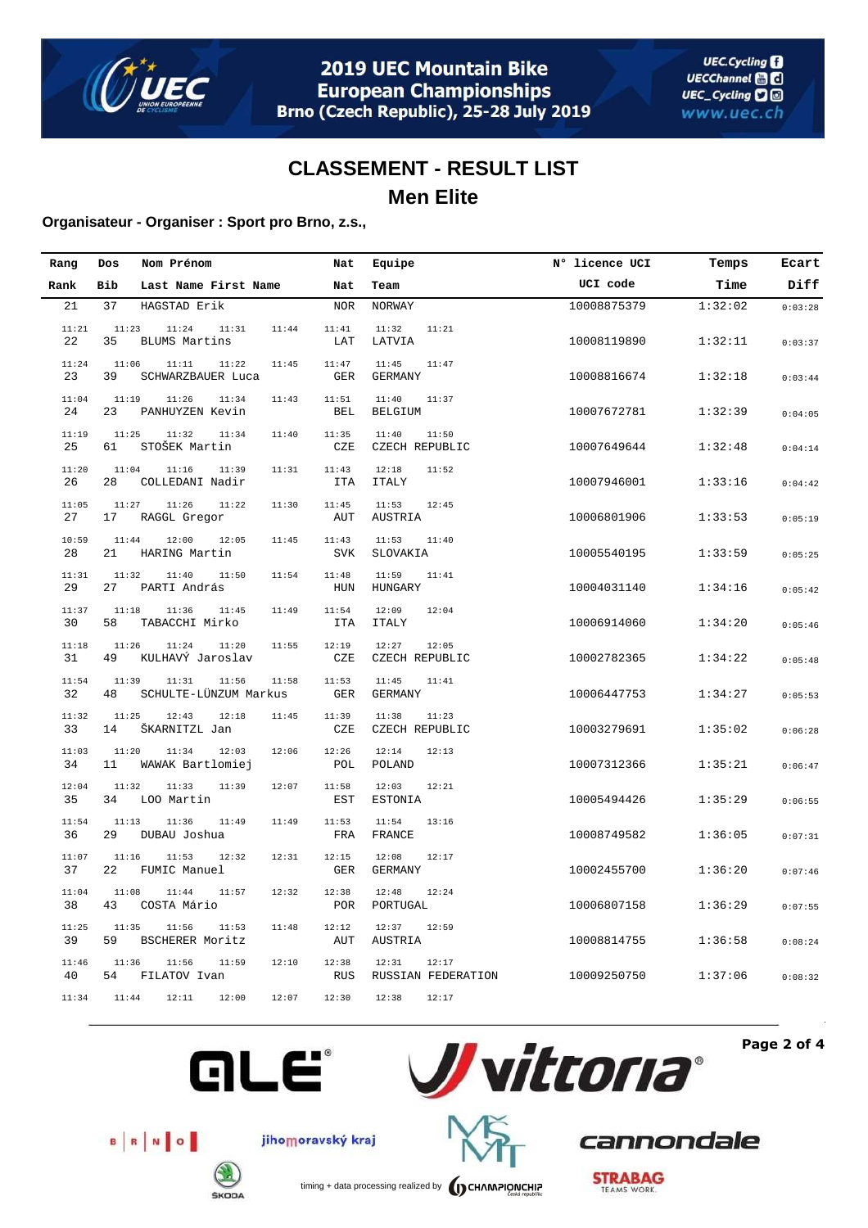

### **Organisateur - Organiser : Sport pro Brno, z.s.,**

| Rang        | Dos         | Nom Prénom                              | Nat                          | Equipe                               | N° licence UCI | Temps   | Ecart   |
|-------------|-------------|-----------------------------------------|------------------------------|--------------------------------------|----------------|---------|---------|
| Rank        | Bib         | Last Name First Name                    | Nat                          | Team                                 | UCI code       | Time    | Diff    |
| 21          | 37          | HAGSTAD Erik                            | <b>NOR</b>                   | NORWAY                               | 10008875379    | 1:32:02 | 0:03:28 |
| 11:21<br>22 | 11:23<br>35 | 11:24<br>11:31<br><b>BLUMS Martins</b>  | 11:44<br>11:41<br>LAT        | 11:32<br>11:21<br>LATVIA             | 10008119890    | 1:32:11 | 0:03:37 |
| 11:24<br>23 | 11:06<br>39 | 11:11<br>11:22<br>SCHWARZBAUER Luca     | 11:45<br>11:47<br><b>GER</b> | 11:45<br>11:47<br><b>GERMANY</b>     | 10008816674    | 1:32:18 | 0:03:44 |
| 11:04<br>24 | 11:19<br>23 | 11:26<br>11:34<br>PANHUYZEN Kevin       | 11:43<br>11:51<br>BEL        | 11:40<br>11:37<br><b>BELGIUM</b>     | 10007672781    | 1:32:39 | 0:04:05 |
| 11:19<br>25 | 11:25<br>61 | 11:32<br>11:34<br>STOŠEK Martin         | 11:40<br>11:35<br>CZE        | 11:40<br>11:50<br>CZECH REPUBLIC     | 10007649644    | 1:32:48 | 0:04:14 |
| 11:20<br>26 | 11:04<br>28 | 11:16<br>11:39<br>COLLEDANI Nadir       | 11:31<br>11:43<br><b>ITA</b> | 12:18<br>11:52<br><b>ITALY</b>       | 10007946001    | 1:33:16 | 0:04:42 |
| 11:05<br>27 | 11:27<br>17 | 11:26<br>11:22<br>RAGGL Gregor          | 11:30<br>11:45<br>AUT        | 11:53<br>12:45<br>AUSTRIA            | 10006801906    | 1:33:53 | 0:05:19 |
| 10:59<br>28 | 11:44<br>21 | 12:00<br>12:05<br>HARING Martin         | 11:45<br>11:43<br><b>SVK</b> | 11:53<br>11:40<br>SLOVAKIA           | 10005540195    | 1:33:59 | 0:05:25 |
| 11:31<br>29 | 11:32<br>27 | 11:40<br>11:50<br>PARTI András          | 11:54<br>11:48<br>HUN        | 11:59<br>11:41<br>HUNGARY            | 10004031140    | 1:34:16 | 0:05:42 |
| 11:37<br>30 | 11:18<br>58 | 11:36<br>11:45<br>TABACCHI Mirko        | 11:49<br>11:54<br><b>ITA</b> | 12:09<br>12:04<br><b>ITALY</b>       | 10006914060    | 1:34:20 | 0:05:46 |
| 11:18<br>31 | 11:26<br>49 | 11:24<br>11:20<br>KULHAVÝ Jaroslav      | 11:55<br>12:19<br>CZE        | 12:27<br>12:05<br>CZECH REPUBLIC     | 10002782365    | 1:34:22 | 0:05:48 |
| 11:54<br>32 | 11:39<br>48 | 11:31<br>11:56<br>SCHULTE-LÜNZUM Markus | 11:58<br>11:53<br><b>GER</b> | 11:45<br>11:41<br><b>GERMANY</b>     | 10006447753    | 1:34:27 | 0:05:53 |
| 11:32<br>33 | 11:25<br>14 | 12:43<br>12:18<br>ŠKARNITZL Jan         | 11:45<br>11:39<br>CZE        | 11:38<br>11:23<br>CZECH REPUBLIC     | 10003279691    | 1:35:02 | 0:06:28 |
| 11:03<br>34 | 11:20<br>11 | 11:34<br>12:03<br>WAWAK Bartlomiej      | 12:06<br>12:26<br>POL        | 12:14<br>12:13<br>POLAND             | 10007312366    | 1:35:21 | 0:06:47 |
| 12:04<br>35 | 11:32<br>34 | 11:33<br>11:39<br>LOO Martin            | 12:07<br>11:58<br>EST        | 12:03<br>12:21<br><b>ESTONIA</b>     | 10005494426    | 1:35:29 | 0:06:55 |
| 11:54<br>36 | 11:13<br>29 | 11:36<br>11:49<br>DUBAU Joshua          | 11:49<br>11:53<br>FRA        | 11:54<br>13:16<br>FRANCE             | 10008749582    | 1:36:05 | 0:07:31 |
| 11:07<br>37 | 11:16<br>22 | 11:53<br>12:32<br>FUMIC Manuel          | 12:31<br>12:15<br><b>GER</b> | 12:08<br>12:17<br><b>GERMANY</b>     | 10002455700    | 1:36:20 | 0:07:46 |
| 11:04<br>38 | 11:08<br>43 | 11:44<br>11:57<br>COSTA Mário           | 12:32<br>12:38<br>POR        | 12:48<br>12:24<br>PORTUGAL           | 10006807158    | 1:36:29 | 0:07:55 |
| 11:25<br>39 | 11:35<br>59 | 11:56<br>11:53<br>BSCHERER Moritz       | 11:48<br>12:12<br>AUT        | 12:37<br>12:59<br>AUSTRIA            | 10008814755    | 1:36:58 | 0:08:24 |
| 11:46<br>40 | 11:36<br>54 | 11:56<br>11:59<br>FILATOV Ivan          | 12:10<br>12:38<br>RUS        | 12:31<br>12:17<br>RUSSIAN FEDERATION | 10009250750    | 1:37:06 | 0:08:32 |
| 11:34       | 11:44       | 12:11<br>12:00                          | 12:07<br>12:30               | 12:38<br>12:17                       |                |         |         |



**Page 2 of 4**



jihomoravský kraj



**GLE®** 

timing + data processing realized by **CHAMPIONCHIP** 

**STRABAG** 

cannondale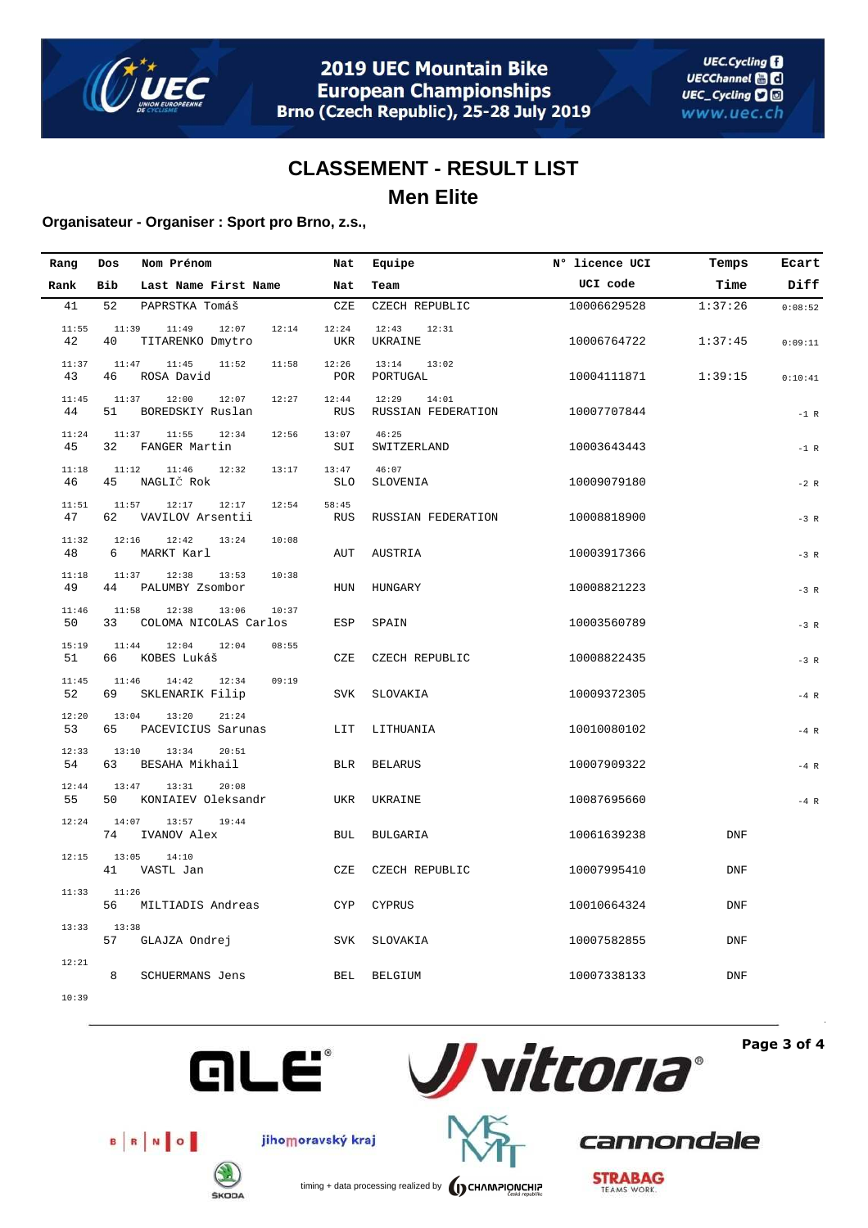

### **Organisateur - Organiser : Sport pro Brno, z.s.,**

| Rang        | Dos         | Nom Prénom                                       | Nat                 | Equipe                               | N° licence UCI | Temps      | Ecart   |
|-------------|-------------|--------------------------------------------------|---------------------|--------------------------------------|----------------|------------|---------|
| Rank        | Bib         | Last Name First Name                             | Nat                 | Team                                 | UCI code       | Time       | Diff    |
| 41          | 52          | PAPRSTKA Tomáš                                   | CZE                 | CZECH REPUBLIC                       | 10006629528    | 1:37:26    | 0:08:52 |
| 11:55<br>42 | 11:39<br>40 | 11:49<br>12:07<br>12:14<br>TITARENKO Dmytro      | 12:24<br>UKR        | 12:43<br>12:31<br>UKRAINE            | 10006764722    | 1:37:45    | 0:09:11 |
| 11:37<br>43 | 11:47<br>46 | 11:45<br>11:52<br>11:58<br>ROSA David            | 12:26<br>POR        | 13:14<br>13:02<br>PORTUGAL           | 10004111871    | 1:39:15    | 0:10:41 |
| 11:45<br>44 | 11:37<br>51 | 12:00<br>12:07<br>12:27<br>BOREDSKIY Ruslan      | 12:44<br><b>RUS</b> | 12:29<br>14:01<br>RUSSIAN FEDERATION | 10007707844    |            | $-1$ R  |
| 11:24<br>45 | 11:37<br>32 | 11:55<br>12:34<br>12:56<br>FANGER Martin         | 13:07<br>SUI        | 46:25<br>SWITZERLAND                 | 10003643443    |            | $-1$ R  |
| 11:18<br>46 | 11:12<br>45 | 11:46<br>12:32<br>13:17<br>NAGLIČ Rok            | 13:47<br><b>SLO</b> | 46:07<br>SLOVENIA                    | 10009079180    |            | $-2 R$  |
| 11:51<br>47 | 11:57<br>62 | 12:17<br>12:17<br>12:54<br>VAVILOV Arsentii      | 58:45<br><b>RUS</b> | RUSSIAN FEDERATION                   | 10008818900    |            | $-3 R$  |
| 11:32<br>48 | 12:16<br>6  | 12:42<br>13:24<br>10:08<br>MARKT Karl            | AUT                 | AUSTRIA                              | 10003917366    |            | $-3 R$  |
| 11:18<br>49 | 11:37<br>44 | 12:38<br>13:53<br>10:38<br>PALUMBY Zsombor       | HUN                 | HUNGARY                              | 10008821223    |            | $-3 R$  |
| 11:46<br>50 | 11:58<br>33 | 10:37<br>12:38<br>13:06<br>COLOMA NICOLAS Carlos | ESP                 | SPAIN                                | 10003560789    |            | $-3 R$  |
| 15:19<br>51 | 11:44<br>66 | 12:04<br>12:04<br>08:55<br>KOBES Lukáš           | CZE                 | CZECH REPUBLIC                       | 10008822435    |            | $-3 R$  |
| 11:45<br>52 | 11:46<br>69 | 14:42<br>12:34<br>09:19<br>SKLENARIK Filip       | SVK                 | SLOVAKIA                             | 10009372305    |            | $-4$ R  |
| 12:20<br>53 | 13:04<br>65 | 13:20<br>21:24<br>PACEVICIUS Sarunas             | LIT                 | LITHUANIA                            | 10010080102    |            | $-4$ R  |
| 12:33<br>54 | 13:10<br>63 | 20:51<br>13:34<br>BESAHA Mikhail                 | <b>BLR</b>          | <b>BELARUS</b>                       | 10007909322    |            | $-4 R$  |
| 12:44<br>55 | 13:47<br>50 | 13:31<br>20:08<br>KONIAIEV Oleksandr             | UKR                 | UKRAINE                              | 10087695660    |            | $-4$ R  |
| 12:24       | 14:07<br>74 | 13:57<br>19:44<br>IVANOV Alex                    | <b>BUL</b>          | <b>BULGARIA</b>                      | 10061639238    | <b>DNF</b> |         |
| 12:15       | 13:05<br>41 | 14:10<br>VASTL Jan                               | CZE                 | CZECH REPUBLIC                       | 10007995410    | <b>DNF</b> |         |
| 11:33       | 11:26<br>56 | MILTIADIS Andreas                                | <b>CYP</b>          | <b>CYPRUS</b>                        | 10010664324    | <b>DNF</b> |         |
| 13:33       | 13:38<br>57 | GLAJZA Ondrej                                    | SVK                 | SLOVAKIA                             | 10007582855    | <b>DNF</b> |         |
| 12:21       | 8           | <b>SCHUERMANS Jens</b>                           | BEL                 | <b>BELGIUM</b>                       | 10007338133    | <b>DNF</b> |         |
| 10:39       |             |                                                  |                     |                                      |                |            |         |



**Page 3 of 4**



**ŠKODA** 

jihomoravský kraj



timing + data processing realized by **CHAMPIONCHIP** 

**STRABAG** 

cannondale